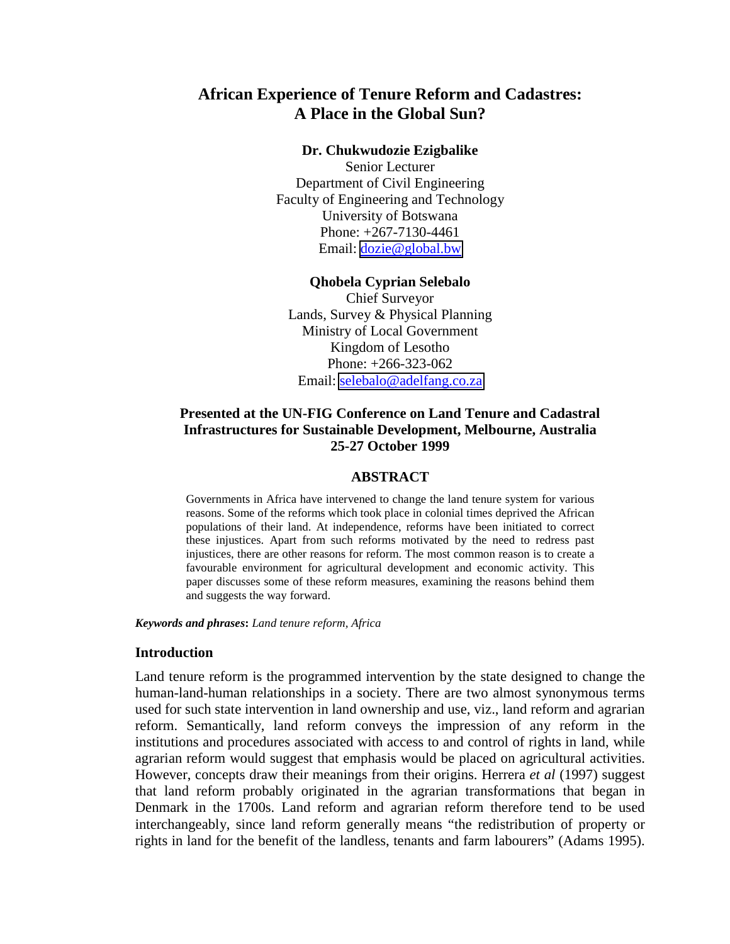# **African Experience of Tenure Reform and Cadastres: A Place in the Global Sun?**

### **Dr. Chukwudozie Ezigbalike**

Senior Lecturer Department of Civil Engineering Faculty of Engineering and Technology University of Botswana Phone: +267-7130-4461 Email: [dozie@global.bw](mailto:dozie@global.bw)

#### **Qhobela Cyprian Selebalo**

Chief Surveyor Lands, Survey & Physical Planning Ministry of Local Government Kingdom of Lesotho Phone: +266-323-062 Email: [selebalo@adelfang.co.za](mailto:selebalo@adelfang.co.za)

## **Presented at the UN-FIG Conference on Land Tenure and Cadastral Infrastructures for Sustainable Development, Melbourne, Australia 25-27 October 1999**

#### **ABSTRACT**

Governments in Africa have intervened to change the land tenure system for various reasons. Some of the reforms which took place in colonial times deprived the African populations of their land. At independence, reforms have been initiated to correct these injustices. Apart from such reforms motivated by the need to redress past injustices, there are other reasons for reform. The most common reason is to create a favourable environment for agricultural development and economic activity. This paper discusses some of these reform measures, examining the reasons behind them and suggests the way forward.

*Keywords and phrases***:** *Land tenure reform, Africa*

### **Introduction**

Land tenure reform is the programmed intervention by the state designed to change the human-land-human relationships in a society. There are two almost synonymous terms used for such state intervention in land ownership and use, viz., land reform and agrarian reform. Semantically, land reform conveys the impression of any reform in the institutions and procedures associated with access to and control of rights in land, while agrarian reform would suggest that emphasis would be placed on agricultural activities. However, concepts draw their meanings from their origins. Herrera *et al* (1997) suggest that land reform probably originated in the agrarian transformations that began in Denmark in the 1700s. Land reform and agrarian reform therefore tend to be used interchangeably, since land reform generally means "the redistribution of property or rights in land for the benefit of the landless, tenants and farm labourers" (Adams 1995).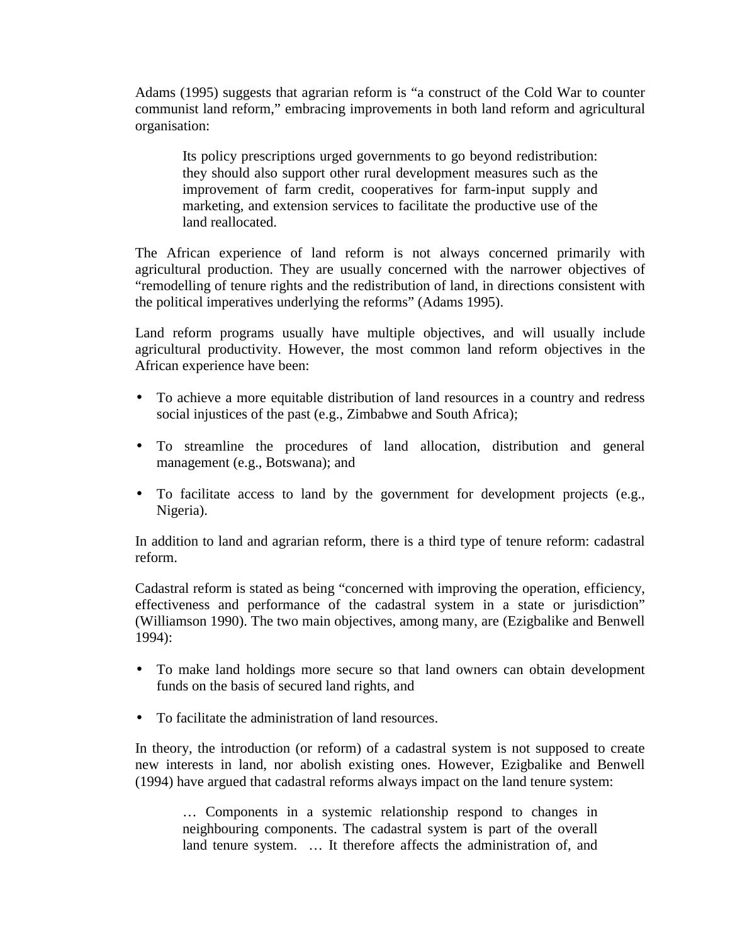Adams (1995) suggests that agrarian reform is "a construct of the Cold War to counter communist land reform," embracing improvements in both land reform and agricultural organisation:

Its policy prescriptions urged governments to go beyond redistribution: they should also support other rural development measures such as the improvement of farm credit, cooperatives for farm-input supply and marketing, and extension services to facilitate the productive use of the land reallocated.

The African experience of land reform is not always concerned primarily with agricultural production. They are usually concerned with the narrower objectives of "remodelling of tenure rights and the redistribution of land, in directions consistent with the political imperatives underlying the reforms" (Adams 1995).

Land reform programs usually have multiple objectives, and will usually include agricultural productivity. However, the most common land reform objectives in the African experience have been:

- To achieve a more equitable distribution of land resources in a country and redress social injustices of the past (e.g., Zimbabwe and South Africa);
- To streamline the procedures of land allocation, distribution and general management (e.g., Botswana); and
- To facilitate access to land by the government for development projects (e.g., Nigeria).

In addition to land and agrarian reform, there is a third type of tenure reform: cadastral reform.

Cadastral reform is stated as being "concerned with improving the operation, efficiency, effectiveness and performance of the cadastral system in a state or jurisdiction" (Williamson 1990). The two main objectives, among many, are (Ezigbalike and Benwell 1994):

- To make land holdings more secure so that land owners can obtain development funds on the basis of secured land rights, and
- To facilitate the administration of land resources.

In theory, the introduction (or reform) of a cadastral system is not supposed to create new interests in land, nor abolish existing ones. However, Ezigbalike and Benwell (1994) have argued that cadastral reforms always impact on the land tenure system:

… Components in a systemic relationship respond to changes in neighbouring components. The cadastral system is part of the overall land tenure system. … It therefore affects the administration of, and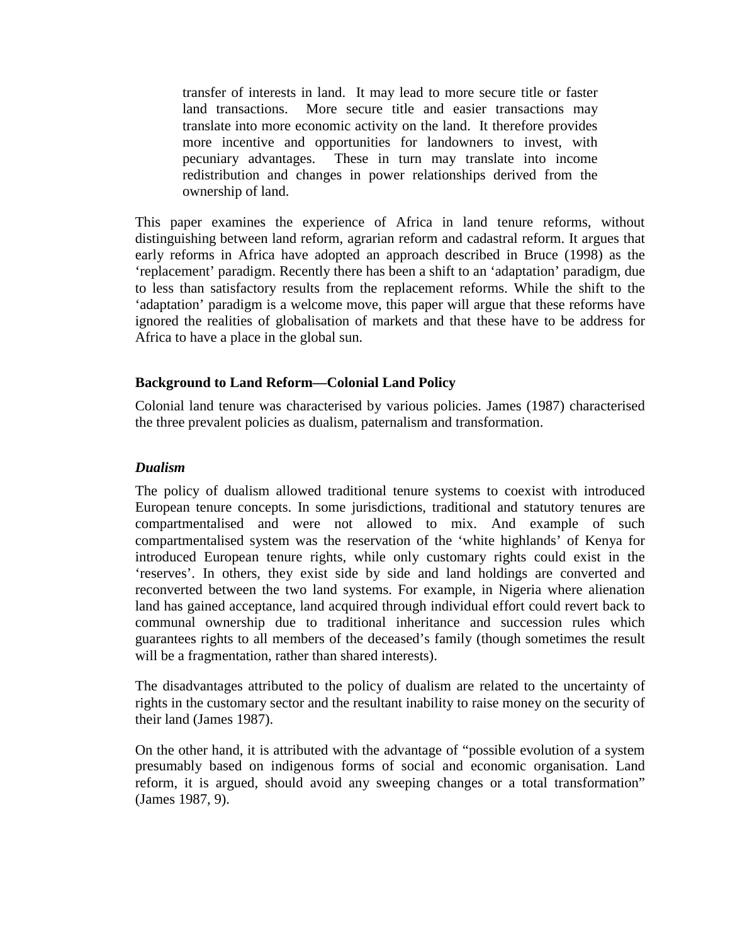transfer of interests in land. It may lead to more secure title or faster land transactions. More secure title and easier transactions may translate into more economic activity on the land. It therefore provides more incentive and opportunities for landowners to invest, with pecuniary advantages. These in turn may translate into income redistribution and changes in power relationships derived from the ownership of land.

This paper examines the experience of Africa in land tenure reforms, without distinguishing between land reform, agrarian reform and cadastral reform. It argues that early reforms in Africa have adopted an approach described in Bruce (1998) as the 'replacement' paradigm. Recently there has been a shift to an 'adaptation' paradigm, due to less than satisfactory results from the replacement reforms. While the shift to the 'adaptation' paradigm is a welcome move, this paper will argue that these reforms have ignored the realities of globalisation of markets and that these have to be address for Africa to have a place in the global sun.

## **Background to Land Reform—Colonial Land Policy**

Colonial land tenure was characterised by various policies. James (1987) characterised the three prevalent policies as dualism, paternalism and transformation.

## *Dualism*

The policy of dualism allowed traditional tenure systems to coexist with introduced European tenure concepts. In some jurisdictions, traditional and statutory tenures are compartmentalised and were not allowed to mix. And example of such compartmentalised system was the reservation of the 'white highlands' of Kenya for introduced European tenure rights, while only customary rights could exist in the 'reserves'. In others, they exist side by side and land holdings are converted and reconverted between the two land systems. For example, in Nigeria where alienation land has gained acceptance, land acquired through individual effort could revert back to communal ownership due to traditional inheritance and succession rules which guarantees rights to all members of the deceased's family (though sometimes the result will be a fragmentation, rather than shared interests).

The disadvantages attributed to the policy of dualism are related to the uncertainty of rights in the customary sector and the resultant inability to raise money on the security of their land (James 1987).

On the other hand, it is attributed with the advantage of "possible evolution of a system presumably based on indigenous forms of social and economic organisation. Land reform, it is argued, should avoid any sweeping changes or a total transformation" (James 1987, 9).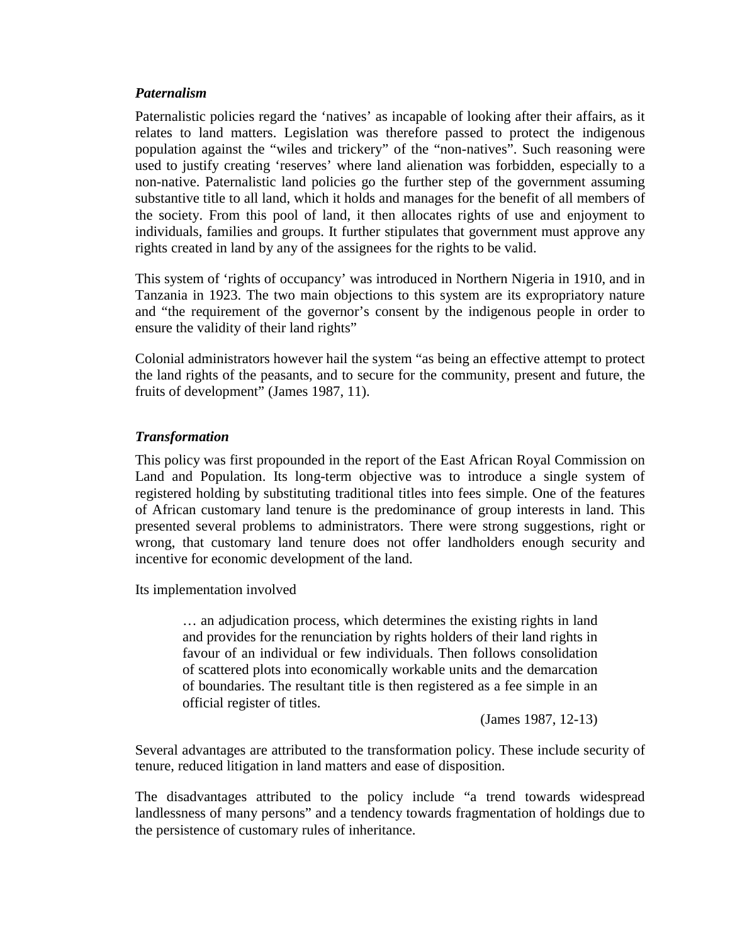### *Paternalism*

Paternalistic policies regard the 'natives' as incapable of looking after their affairs, as it relates to land matters. Legislation was therefore passed to protect the indigenous population against the "wiles and trickery" of the "non-natives". Such reasoning were used to justify creating 'reserves' where land alienation was forbidden, especially to a non-native. Paternalistic land policies go the further step of the government assuming substantive title to all land, which it holds and manages for the benefit of all members of the society. From this pool of land, it then allocates rights of use and enjoyment to individuals, families and groups. It further stipulates that government must approve any rights created in land by any of the assignees for the rights to be valid.

This system of 'rights of occupancy' was introduced in Northern Nigeria in 1910, and in Tanzania in 1923. The two main objections to this system are its expropriatory nature and "the requirement of the governor's consent by the indigenous people in order to ensure the validity of their land rights"

Colonial administrators however hail the system "as being an effective attempt to protect the land rights of the peasants, and to secure for the community, present and future, the fruits of development" (James 1987, 11).

## *Transformation*

This policy was first propounded in the report of the East African Royal Commission on Land and Population. Its long-term objective was to introduce a single system of registered holding by substituting traditional titles into fees simple. One of the features of African customary land tenure is the predominance of group interests in land. This presented several problems to administrators. There were strong suggestions, right or wrong, that customary land tenure does not offer landholders enough security and incentive for economic development of the land.

Its implementation involved

… an adjudication process, which determines the existing rights in land and provides for the renunciation by rights holders of their land rights in favour of an individual or few individuals. Then follows consolidation of scattered plots into economically workable units and the demarcation of boundaries. The resultant title is then registered as a fee simple in an official register of titles.

(James 1987, 12-13)

Several advantages are attributed to the transformation policy. These include security of tenure, reduced litigation in land matters and ease of disposition.

The disadvantages attributed to the policy include "a trend towards widespread landlessness of many persons" and a tendency towards fragmentation of holdings due to the persistence of customary rules of inheritance.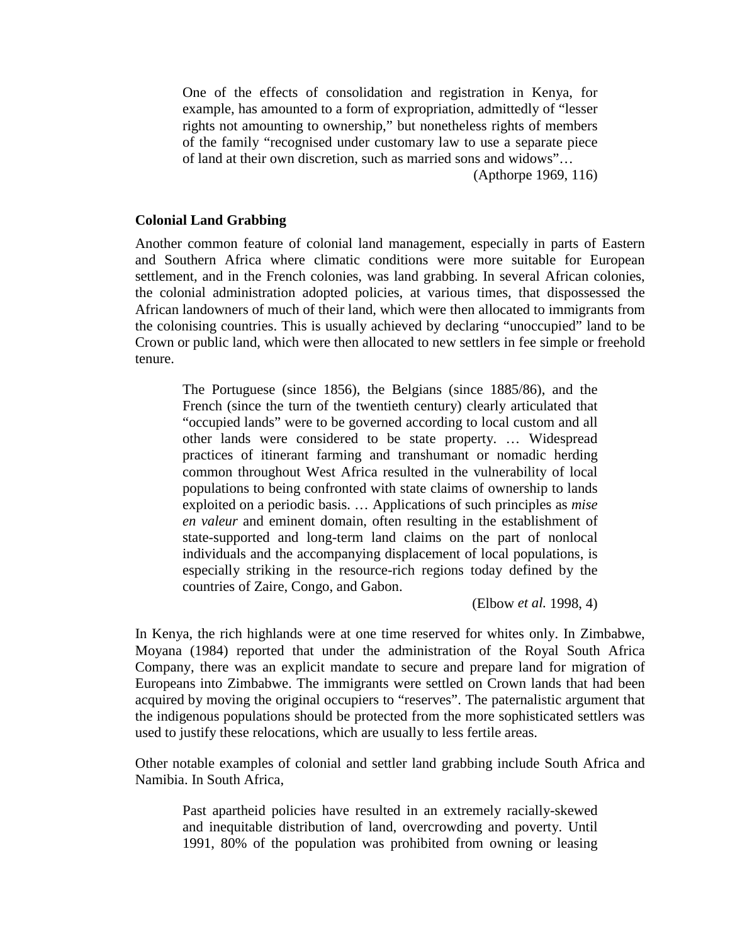One of the effects of consolidation and registration in Kenya, for example, has amounted to a form of expropriation, admittedly of "lesser rights not amounting to ownership," but nonetheless rights of members of the family "recognised under customary law to use a separate piece of land at their own discretion, such as married sons and widows"…

(Apthorpe 1969, 116)

### **Colonial Land Grabbing**

Another common feature of colonial land management, especially in parts of Eastern and Southern Africa where climatic conditions were more suitable for European settlement, and in the French colonies, was land grabbing. In several African colonies, the colonial administration adopted policies, at various times, that dispossessed the African landowners of much of their land, which were then allocated to immigrants from the colonising countries. This is usually achieved by declaring "unoccupied" land to be Crown or public land, which were then allocated to new settlers in fee simple or freehold tenure.

The Portuguese (since 1856), the Belgians (since 1885/86), and the French (since the turn of the twentieth century) clearly articulated that "occupied lands" were to be governed according to local custom and all other lands were considered to be state property. … Widespread practices of itinerant farming and transhumant or nomadic herding common throughout West Africa resulted in the vulnerability of local populations to being confronted with state claims of ownership to lands exploited on a periodic basis. … Applications of such principles as *mise en valeur* and eminent domain, often resulting in the establishment of state-supported and long-term land claims on the part of nonlocal individuals and the accompanying displacement of local populations, is especially striking in the resource-rich regions today defined by the countries of Zaire, Congo, and Gabon.

(Elbow *et al.* 1998, 4)

In Kenya, the rich highlands were at one time reserved for whites only. In Zimbabwe, Moyana (1984) reported that under the administration of the Royal South Africa Company, there was an explicit mandate to secure and prepare land for migration of Europeans into Zimbabwe. The immigrants were settled on Crown lands that had been acquired by moving the original occupiers to "reserves". The paternalistic argument that the indigenous populations should be protected from the more sophisticated settlers was used to justify these relocations, which are usually to less fertile areas.

Other notable examples of colonial and settler land grabbing include South Africa and Namibia. In South Africa,

Past apartheid policies have resulted in an extremely racially-skewed and inequitable distribution of land, overcrowding and poverty. Until 1991, 80% of the population was prohibited from owning or leasing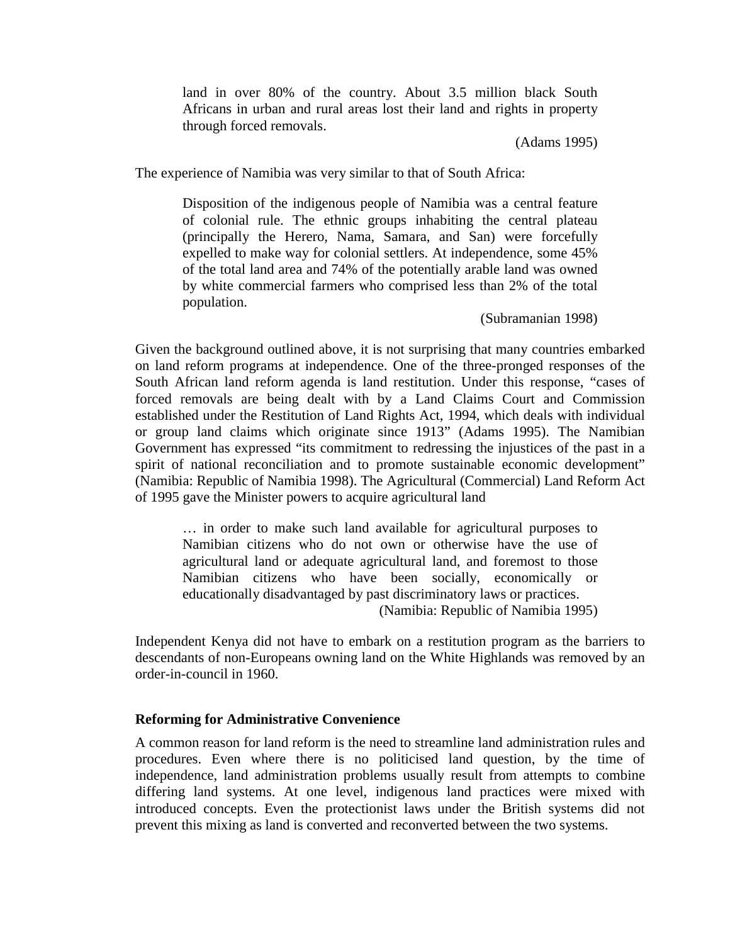land in over 80% of the country. About 3.5 million black South Africans in urban and rural areas lost their land and rights in property through forced removals.

(Adams 1995)

The experience of Namibia was very similar to that of South Africa:

Disposition of the indigenous people of Namibia was a central feature of colonial rule. The ethnic groups inhabiting the central plateau (principally the Herero, Nama, Samara, and San) were forcefully expelled to make way for colonial settlers. At independence, some 45% of the total land area and 74% of the potentially arable land was owned by white commercial farmers who comprised less than 2% of the total population.

(Subramanian 1998)

Given the background outlined above, it is not surprising that many countries embarked on land reform programs at independence. One of the three-pronged responses of the South African land reform agenda is land restitution. Under this response, "cases of forced removals are being dealt with by a Land Claims Court and Commission established under the Restitution of Land Rights Act, 1994, which deals with individual or group land claims which originate since 1913" (Adams 1995). The Namibian Government has expressed "its commitment to redressing the injustices of the past in a spirit of national reconciliation and to promote sustainable economic development" (Namibia: Republic of Namibia 1998). The Agricultural (Commercial) Land Reform Act of 1995 gave the Minister powers to acquire agricultural land

… in order to make such land available for agricultural purposes to Namibian citizens who do not own or otherwise have the use of agricultural land or adequate agricultural land, and foremost to those Namibian citizens who have been socially, economically or educationally disadvantaged by past discriminatory laws or practices. (Namibia: Republic of Namibia 1995)

Independent Kenya did not have to embark on a restitution program as the barriers to descendants of non-Europeans owning land on the White Highlands was removed by an order-in-council in 1960.

## **Reforming for Administrative Convenience**

A common reason for land reform is the need to streamline land administration rules and procedures. Even where there is no politicised land question, by the time of independence, land administration problems usually result from attempts to combine differing land systems. At one level, indigenous land practices were mixed with introduced concepts. Even the protectionist laws under the British systems did not prevent this mixing as land is converted and reconverted between the two systems.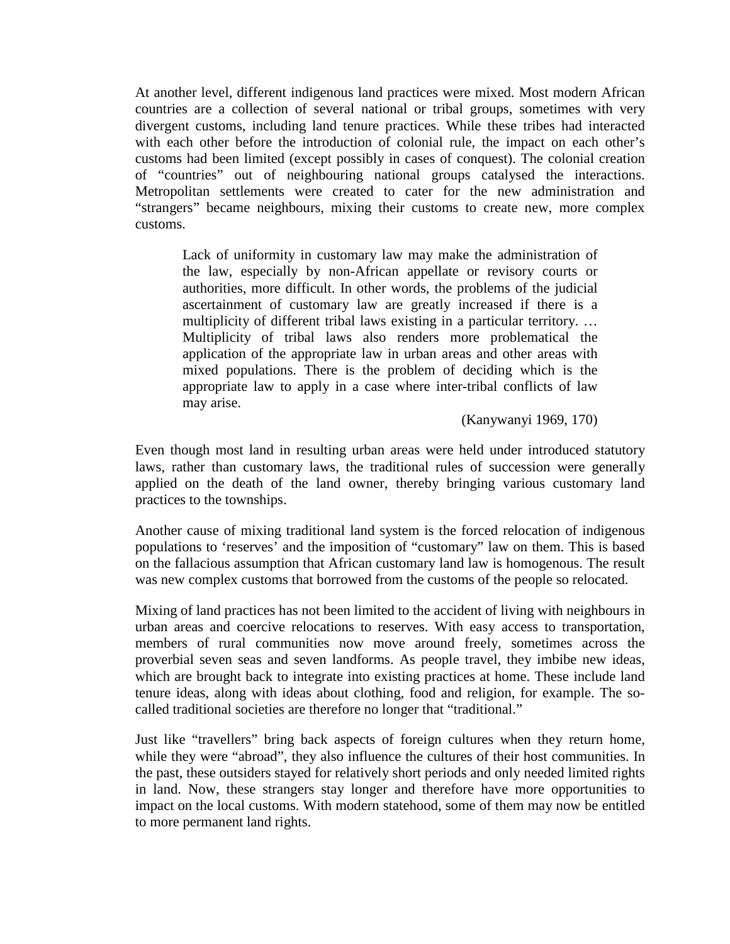At another level, different indigenous land practices were mixed. Most modern African countries are a collection of several national or tribal groups, sometimes with very divergent customs, including land tenure practices. While these tribes had interacted with each other before the introduction of colonial rule, the impact on each other's customs had been limited (except possibly in cases of conquest). The colonial creation of "countries" out of neighbouring national groups catalysed the interactions. Metropolitan settlements were created to cater for the new administration and "strangers" became neighbours, mixing their customs to create new, more complex customs.

Lack of uniformity in customary law may make the administration of the law, especially by non-African appellate or revisory courts or authorities, more difficult. In other words, the problems of the judicial ascertainment of customary law are greatly increased if there is a multiplicity of different tribal laws existing in a particular territory. … Multiplicity of tribal laws also renders more problematical the application of the appropriate law in urban areas and other areas with mixed populations. There is the problem of deciding which is the appropriate law to apply in a case where inter-tribal conflicts of law may arise.

(Kanywanyi 1969, 170)

Even though most land in resulting urban areas were held under introduced statutory laws, rather than customary laws, the traditional rules of succession were generally applied on the death of the land owner, thereby bringing various customary land practices to the townships.

Another cause of mixing traditional land system is the forced relocation of indigenous populations to 'reserves' and the imposition of "customary" law on them. This is based on the fallacious assumption that African customary land law is homogenous. The result was new complex customs that borrowed from the customs of the people so relocated.

Mixing of land practices has not been limited to the accident of living with neighbours in urban areas and coercive relocations to reserves. With easy access to transportation, members of rural communities now move around freely, sometimes across the proverbial seven seas and seven landforms. As people travel, they imbibe new ideas, which are brought back to integrate into existing practices at home. These include land tenure ideas, along with ideas about clothing, food and religion, for example. The socalled traditional societies are therefore no longer that "traditional."

Just like "travellers" bring back aspects of foreign cultures when they return home, while they were "abroad", they also influence the cultures of their host communities. In the past, these outsiders stayed for relatively short periods and only needed limited rights in land. Now, these strangers stay longer and therefore have more opportunities to impact on the local customs. With modern statehood, some of them may now be entitled to more permanent land rights.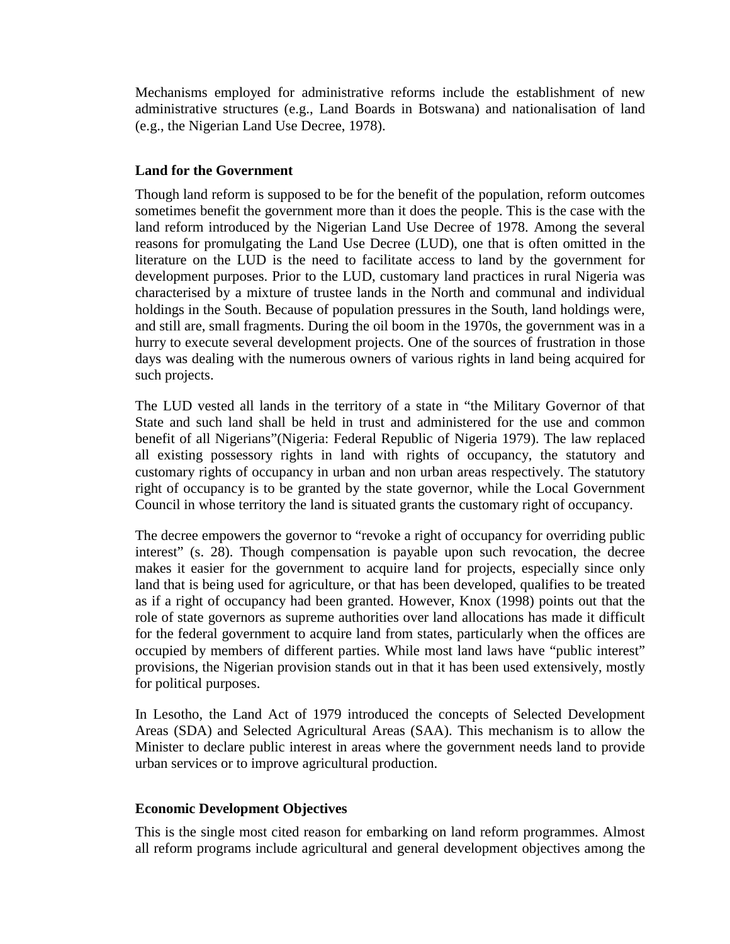Mechanisms employed for administrative reforms include the establishment of new administrative structures (e.g., Land Boards in Botswana) and nationalisation of land (e.g., the Nigerian Land Use Decree, 1978).

## **Land for the Government**

Though land reform is supposed to be for the benefit of the population, reform outcomes sometimes benefit the government more than it does the people. This is the case with the land reform introduced by the Nigerian Land Use Decree of 1978. Among the several reasons for promulgating the Land Use Decree (LUD), one that is often omitted in the literature on the LUD is the need to facilitate access to land by the government for development purposes. Prior to the LUD, customary land practices in rural Nigeria was characterised by a mixture of trustee lands in the North and communal and individual holdings in the South. Because of population pressures in the South, land holdings were, and still are, small fragments. During the oil boom in the 1970s, the government was in a hurry to execute several development projects. One of the sources of frustration in those days was dealing with the numerous owners of various rights in land being acquired for such projects.

The LUD vested all lands in the territory of a state in "the Military Governor of that State and such land shall be held in trust and administered for the use and common benefit of all Nigerians"(Nigeria: Federal Republic of Nigeria 1979). The law replaced all existing possessory rights in land with rights of occupancy, the statutory and customary rights of occupancy in urban and non urban areas respectively. The statutory right of occupancy is to be granted by the state governor, while the Local Government Council in whose territory the land is situated grants the customary right of occupancy.

The decree empowers the governor to "revoke a right of occupancy for overriding public interest" (s. 28). Though compensation is payable upon such revocation, the decree makes it easier for the government to acquire land for projects, especially since only land that is being used for agriculture, or that has been developed, qualifies to be treated as if a right of occupancy had been granted. However, Knox (1998) points out that the role of state governors as supreme authorities over land allocations has made it difficult for the federal government to acquire land from states, particularly when the offices are occupied by members of different parties. While most land laws have "public interest" provisions, the Nigerian provision stands out in that it has been used extensively, mostly for political purposes.

In Lesotho, the Land Act of 1979 introduced the concepts of Selected Development Areas (SDA) and Selected Agricultural Areas (SAA). This mechanism is to allow the Minister to declare public interest in areas where the government needs land to provide urban services or to improve agricultural production.

## **Economic Development Objectives**

This is the single most cited reason for embarking on land reform programmes. Almost all reform programs include agricultural and general development objectives among the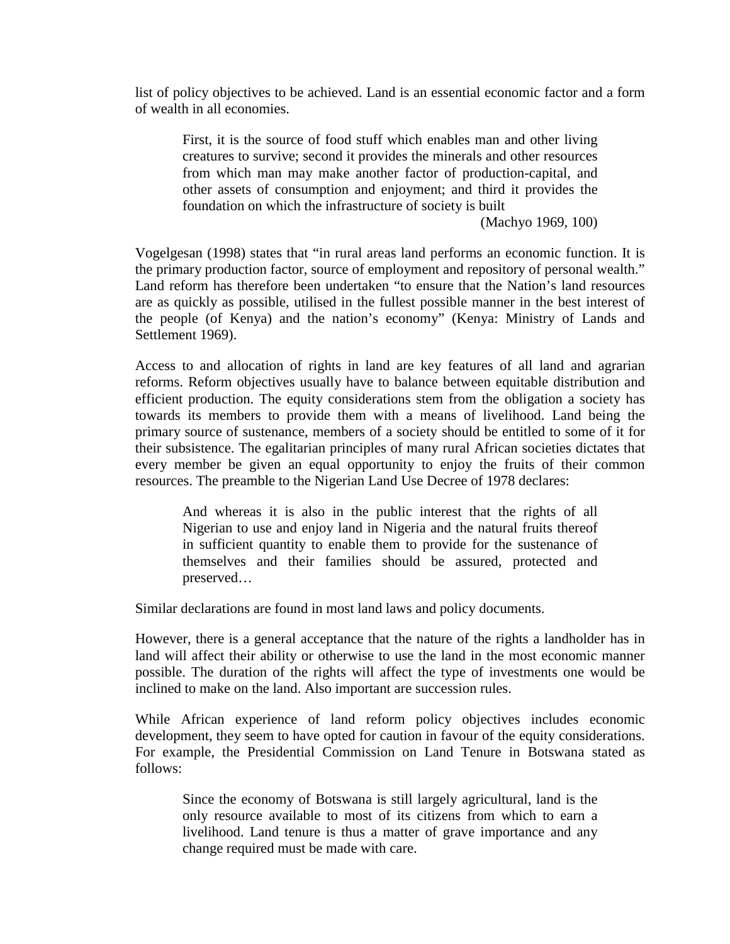list of policy objectives to be achieved. Land is an essential economic factor and a form of wealth in all economies.

First, it is the source of food stuff which enables man and other living creatures to survive; second it provides the minerals and other resources from which man may make another factor of production-capital, and other assets of consumption and enjoyment; and third it provides the foundation on which the infrastructure of society is built

(Machyo 1969, 100)

Vogelgesan (1998) states that "in rural areas land performs an economic function. It is the primary production factor, source of employment and repository of personal wealth." Land reform has therefore been undertaken "to ensure that the Nation's land resources are as quickly as possible, utilised in the fullest possible manner in the best interest of the people (of Kenya) and the nation's economy" (Kenya: Ministry of Lands and Settlement 1969).

Access to and allocation of rights in land are key features of all land and agrarian reforms. Reform objectives usually have to balance between equitable distribution and efficient production. The equity considerations stem from the obligation a society has towards its members to provide them with a means of livelihood. Land being the primary source of sustenance, members of a society should be entitled to some of it for their subsistence. The egalitarian principles of many rural African societies dictates that every member be given an equal opportunity to enjoy the fruits of their common resources. The preamble to the Nigerian Land Use Decree of 1978 declares:

And whereas it is also in the public interest that the rights of all Nigerian to use and enjoy land in Nigeria and the natural fruits thereof in sufficient quantity to enable them to provide for the sustenance of themselves and their families should be assured, protected and preserved…

Similar declarations are found in most land laws and policy documents.

However, there is a general acceptance that the nature of the rights a landholder has in land will affect their ability or otherwise to use the land in the most economic manner possible. The duration of the rights will affect the type of investments one would be inclined to make on the land. Also important are succession rules.

While African experience of land reform policy objectives includes economic development, they seem to have opted for caution in favour of the equity considerations. For example, the Presidential Commission on Land Tenure in Botswana stated as follows:

Since the economy of Botswana is still largely agricultural, land is the only resource available to most of its citizens from which to earn a livelihood. Land tenure is thus a matter of grave importance and any change required must be made with care.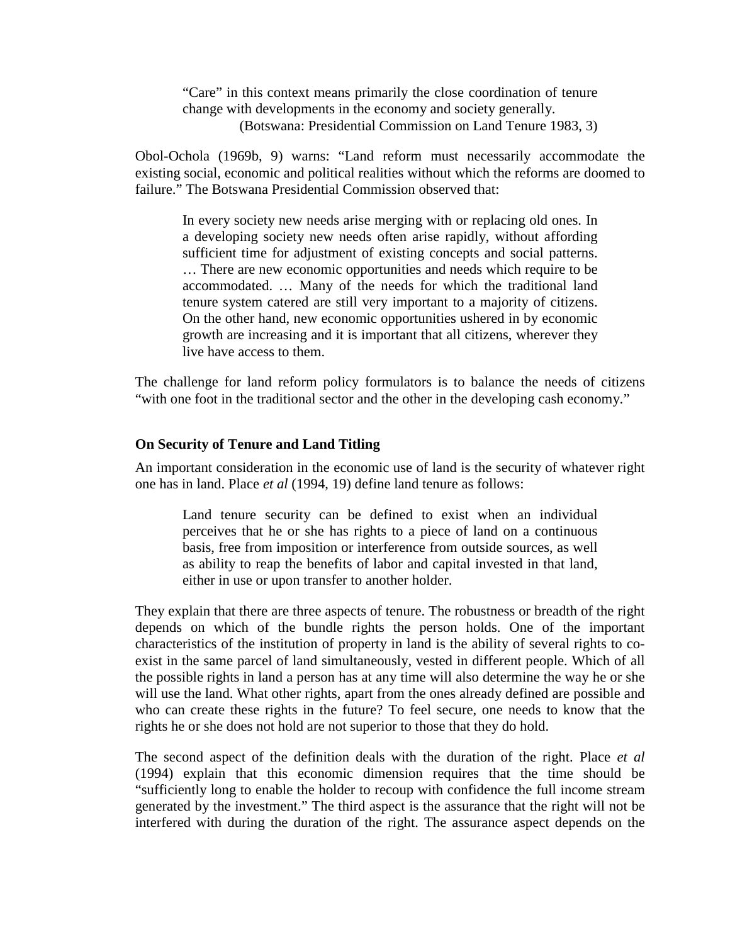"Care" in this context means primarily the close coordination of tenure change with developments in the economy and society generally. (Botswana: Presidential Commission on Land Tenure 1983, 3)

Obol-Ochola (1969b, 9) warns: "Land reform must necessarily accommodate the existing social, economic and political realities without which the reforms are doomed to failure." The Botswana Presidential Commission observed that:

In every society new needs arise merging with or replacing old ones. In a developing society new needs often arise rapidly, without affording sufficient time for adjustment of existing concepts and social patterns. … There are new economic opportunities and needs which require to be accommodated. … Many of the needs for which the traditional land tenure system catered are still very important to a majority of citizens. On the other hand, new economic opportunities ushered in by economic growth are increasing and it is important that all citizens, wherever they live have access to them.

The challenge for land reform policy formulators is to balance the needs of citizens "with one foot in the traditional sector and the other in the developing cash economy."

## **On Security of Tenure and Land Titling**

An important consideration in the economic use of land is the security of whatever right one has in land. Place *et al* (1994, 19) define land tenure as follows:

Land tenure security can be defined to exist when an individual perceives that he or she has rights to a piece of land on a continuous basis, free from imposition or interference from outside sources, as well as ability to reap the benefits of labor and capital invested in that land, either in use or upon transfer to another holder.

They explain that there are three aspects of tenure. The robustness or breadth of the right depends on which of the bundle rights the person holds. One of the important characteristics of the institution of property in land is the ability of several rights to coexist in the same parcel of land simultaneously, vested in different people. Which of all the possible rights in land a person has at any time will also determine the way he or she will use the land. What other rights, apart from the ones already defined are possible and who can create these rights in the future? To feel secure, one needs to know that the rights he or she does not hold are not superior to those that they do hold.

The second aspect of the definition deals with the duration of the right. Place *et al* (1994) explain that this economic dimension requires that the time should be "sufficiently long to enable the holder to recoup with confidence the full income stream generated by the investment." The third aspect is the assurance that the right will not be interfered with during the duration of the right. The assurance aspect depends on the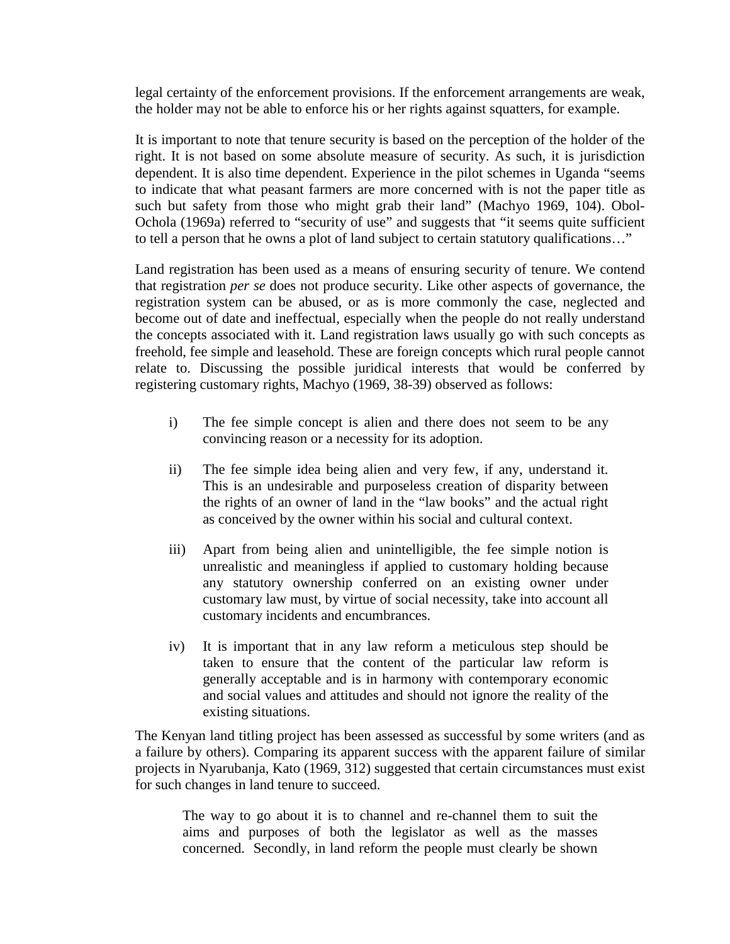legal certainty of the enforcement provisions. If the enforcement arrangements are weak, the holder may not be able to enforce his or her rights against squatters, for example.

It is important to note that tenure security is based on the perception of the holder of the right. It is not based on some absolute measure of security. As such, it is jurisdiction dependent. It is also time dependent. Experience in the pilot schemes in Uganda "seems to indicate that what peasant farmers are more concerned with is not the paper title as such but safety from those who might grab their land" (Machyo 1969, 104). Obol-Ochola (1969a) referred to "security of use" and suggests that "it seems quite sufficient to tell a person that he owns a plot of land subject to certain statutory qualifications…"

Land registration has been used as a means of ensuring security of tenure. We contend that registration *per se* does not produce security. Like other aspects of governance, the registration system can be abused, or as is more commonly the case, neglected and become out of date and ineffectual, especially when the people do not really understand the concepts associated with it. Land registration laws usually go with such concepts as freehold, fee simple and leasehold. These are foreign concepts which rural people cannot relate to. Discussing the possible juridical interests that would be conferred by registering customary rights, Machyo (1969, 38-39) observed as follows:

- i) The fee simple concept is alien and there does not seem to be any convincing reason or a necessity for its adoption.
- ii) The fee simple idea being alien and very few, if any, understand it. This is an undesirable and purposeless creation of disparity between the rights of an owner of land in the "law books" and the actual right as conceived by the owner within his social and cultural context.
- iii) Apart from being alien and unintelligible, the fee simple notion is unrealistic and meaningless if applied to customary holding because any statutory ownership conferred on an existing owner under customary law must, by virtue of social necessity, take into account all customary incidents and encumbrances.
- iv) It is important that in any law reform a meticulous step should be taken to ensure that the content of the particular law reform is generally acceptable and is in harmony with contemporary economic and social values and attitudes and should not ignore the reality of the existing situations.

The Kenyan land titling project has been assessed as successful by some writers (and as a failure by others). Comparing its apparent success with the apparent failure of similar projects in Nyarubanja, Kato (1969, 312) suggested that certain circumstances must exist for such changes in land tenure to succeed.

The way to go about it is to channel and re-channel them to suit the aims and purposes of both the legislator as well as the masses concerned. Secondly, in land reform the people must clearly be shown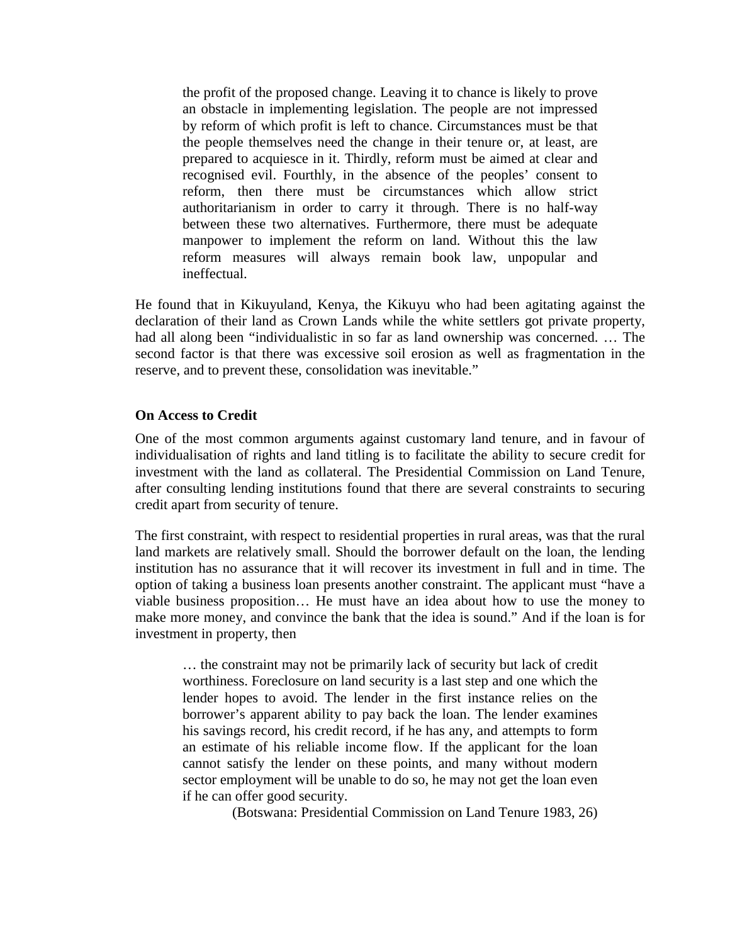the profit of the proposed change. Leaving it to chance is likely to prove an obstacle in implementing legislation. The people are not impressed by reform of which profit is left to chance. Circumstances must be that the people themselves need the change in their tenure or, at least, are prepared to acquiesce in it. Thirdly, reform must be aimed at clear and recognised evil. Fourthly, in the absence of the peoples' consent to reform, then there must be circumstances which allow strict authoritarianism in order to carry it through. There is no half-way between these two alternatives. Furthermore, there must be adequate manpower to implement the reform on land. Without this the law reform measures will always remain book law, unpopular and ineffectual.

He found that in Kikuyuland, Kenya, the Kikuyu who had been agitating against the declaration of their land as Crown Lands while the white settlers got private property, had all along been "individualistic in so far as land ownership was concerned. … The second factor is that there was excessive soil erosion as well as fragmentation in the reserve, and to prevent these, consolidation was inevitable."

### **On Access to Credit**

One of the most common arguments against customary land tenure, and in favour of individualisation of rights and land titling is to facilitate the ability to secure credit for investment with the land as collateral. The Presidential Commission on Land Tenure, after consulting lending institutions found that there are several constraints to securing credit apart from security of tenure.

The first constraint, with respect to residential properties in rural areas, was that the rural land markets are relatively small. Should the borrower default on the loan, the lending institution has no assurance that it will recover its investment in full and in time. The option of taking a business loan presents another constraint. The applicant must "have a viable business proposition… He must have an idea about how to use the money to make more money, and convince the bank that the idea is sound." And if the loan is for investment in property, then

… the constraint may not be primarily lack of security but lack of credit worthiness. Foreclosure on land security is a last step and one which the lender hopes to avoid. The lender in the first instance relies on the borrower's apparent ability to pay back the loan. The lender examines his savings record, his credit record, if he has any, and attempts to form an estimate of his reliable income flow. If the applicant for the loan cannot satisfy the lender on these points, and many without modern sector employment will be unable to do so, he may not get the loan even if he can offer good security.

(Botswana: Presidential Commission on Land Tenure 1983, 26)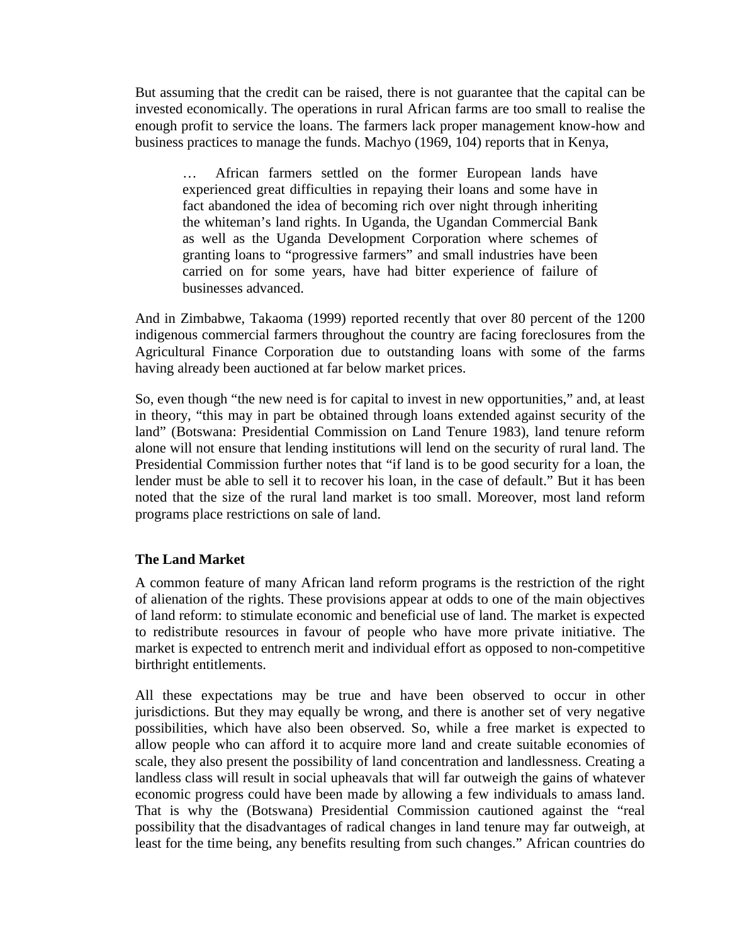But assuming that the credit can be raised, there is not guarantee that the capital can be invested economically. The operations in rural African farms are too small to realise the enough profit to service the loans. The farmers lack proper management know-how and business practices to manage the funds. Machyo (1969, 104) reports that in Kenya,

… African farmers settled on the former European lands have experienced great difficulties in repaying their loans and some have in fact abandoned the idea of becoming rich over night through inheriting the whiteman's land rights. In Uganda, the Ugandan Commercial Bank as well as the Uganda Development Corporation where schemes of granting loans to "progressive farmers" and small industries have been carried on for some years, have had bitter experience of failure of businesses advanced.

And in Zimbabwe, Takaoma (1999) reported recently that over 80 percent of the 1200 indigenous commercial farmers throughout the country are facing foreclosures from the Agricultural Finance Corporation due to outstanding loans with some of the farms having already been auctioned at far below market prices.

So, even though "the new need is for capital to invest in new opportunities," and, at least in theory, "this may in part be obtained through loans extended against security of the land" (Botswana: Presidential Commission on Land Tenure 1983), land tenure reform alone will not ensure that lending institutions will lend on the security of rural land. The Presidential Commission further notes that "if land is to be good security for a loan, the lender must be able to sell it to recover his loan, in the case of default." But it has been noted that the size of the rural land market is too small. Moreover, most land reform programs place restrictions on sale of land.

## **The Land Market**

A common feature of many African land reform programs is the restriction of the right of alienation of the rights. These provisions appear at odds to one of the main objectives of land reform: to stimulate economic and beneficial use of land. The market is expected to redistribute resources in favour of people who have more private initiative. The market is expected to entrench merit and individual effort as opposed to non-competitive birthright entitlements.

All these expectations may be true and have been observed to occur in other jurisdictions. But they may equally be wrong, and there is another set of very negative possibilities, which have also been observed. So, while a free market is expected to allow people who can afford it to acquire more land and create suitable economies of scale, they also present the possibility of land concentration and landlessness. Creating a landless class will result in social upheavals that will far outweigh the gains of whatever economic progress could have been made by allowing a few individuals to amass land. That is why the (Botswana) Presidential Commission cautioned against the "real possibility that the disadvantages of radical changes in land tenure may far outweigh, at least for the time being, any benefits resulting from such changes." African countries do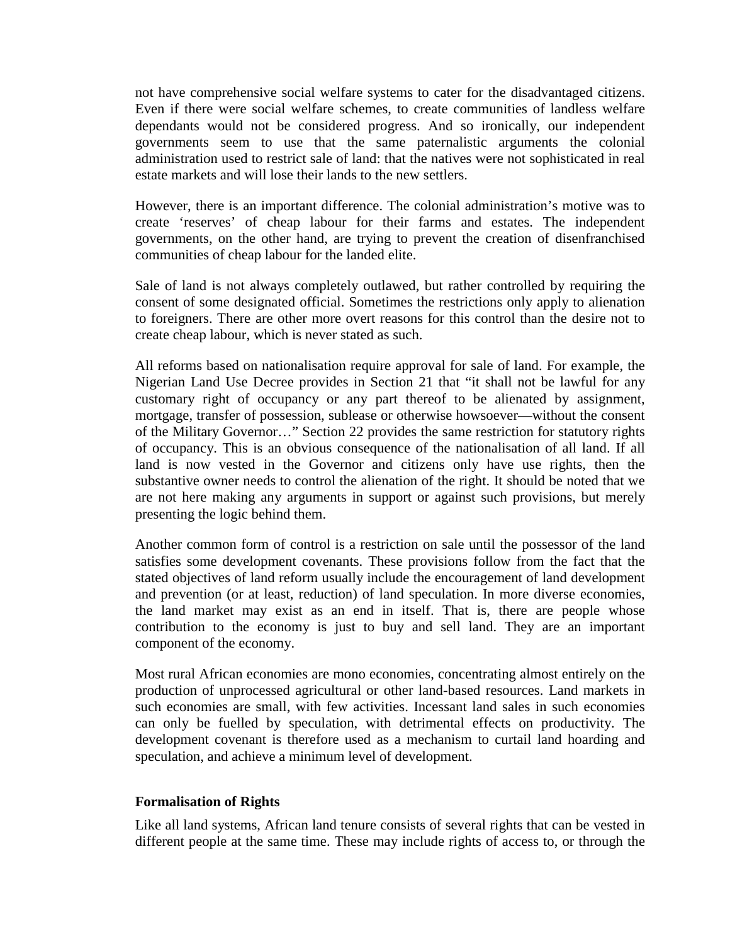not have comprehensive social welfare systems to cater for the disadvantaged citizens. Even if there were social welfare schemes, to create communities of landless welfare dependants would not be considered progress. And so ironically, our independent governments seem to use that the same paternalistic arguments the colonial administration used to restrict sale of land: that the natives were not sophisticated in real estate markets and will lose their lands to the new settlers.

However, there is an important difference. The colonial administration's motive was to create 'reserves' of cheap labour for their farms and estates. The independent governments, on the other hand, are trying to prevent the creation of disenfranchised communities of cheap labour for the landed elite.

Sale of land is not always completely outlawed, but rather controlled by requiring the consent of some designated official. Sometimes the restrictions only apply to alienation to foreigners. There are other more overt reasons for this control than the desire not to create cheap labour, which is never stated as such.

All reforms based on nationalisation require approval for sale of land. For example, the Nigerian Land Use Decree provides in Section 21 that "it shall not be lawful for any customary right of occupancy or any part thereof to be alienated by assignment, mortgage, transfer of possession, sublease or otherwise howsoever—without the consent of the Military Governor…" Section 22 provides the same restriction for statutory rights of occupancy. This is an obvious consequence of the nationalisation of all land. If all land is now vested in the Governor and citizens only have use rights, then the substantive owner needs to control the alienation of the right. It should be noted that we are not here making any arguments in support or against such provisions, but merely presenting the logic behind them.

Another common form of control is a restriction on sale until the possessor of the land satisfies some development covenants. These provisions follow from the fact that the stated objectives of land reform usually include the encouragement of land development and prevention (or at least, reduction) of land speculation. In more diverse economies, the land market may exist as an end in itself. That is, there are people whose contribution to the economy is just to buy and sell land. They are an important component of the economy.

Most rural African economies are mono economies, concentrating almost entirely on the production of unprocessed agricultural or other land-based resources. Land markets in such economies are small, with few activities. Incessant land sales in such economies can only be fuelled by speculation, with detrimental effects on productivity. The development covenant is therefore used as a mechanism to curtail land hoarding and speculation, and achieve a minimum level of development.

## **Formalisation of Rights**

Like all land systems, African land tenure consists of several rights that can be vested in different people at the same time. These may include rights of access to, or through the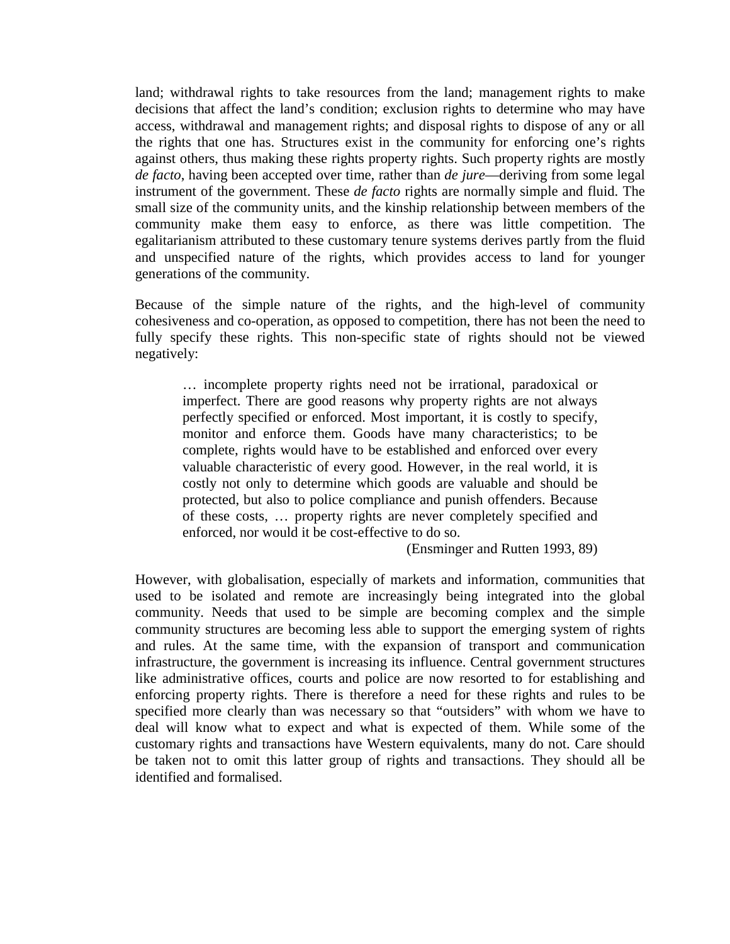land; withdrawal rights to take resources from the land; management rights to make decisions that affect the land's condition; exclusion rights to determine who may have access, withdrawal and management rights; and disposal rights to dispose of any or all the rights that one has. Structures exist in the community for enforcing one's rights against others, thus making these rights property rights. Such property rights are mostly *de facto*, having been accepted over time, rather than *de jure*—deriving from some legal instrument of the government. These *de facto* rights are normally simple and fluid. The small size of the community units, and the kinship relationship between members of the community make them easy to enforce, as there was little competition. The egalitarianism attributed to these customary tenure systems derives partly from the fluid and unspecified nature of the rights, which provides access to land for younger generations of the community.

Because of the simple nature of the rights, and the high-level of community cohesiveness and co-operation, as opposed to competition, there has not been the need to fully specify these rights. This non-specific state of rights should not be viewed negatively:

… incomplete property rights need not be irrational, paradoxical or imperfect. There are good reasons why property rights are not always perfectly specified or enforced. Most important, it is costly to specify, monitor and enforce them. Goods have many characteristics; to be complete, rights would have to be established and enforced over every valuable characteristic of every good. However, in the real world, it is costly not only to determine which goods are valuable and should be protected, but also to police compliance and punish offenders. Because of these costs, … property rights are never completely specified and enforced, nor would it be cost-effective to do so.

(Ensminger and Rutten 1993, 89)

However, with globalisation, especially of markets and information, communities that used to be isolated and remote are increasingly being integrated into the global community. Needs that used to be simple are becoming complex and the simple community structures are becoming less able to support the emerging system of rights and rules. At the same time, with the expansion of transport and communication infrastructure, the government is increasing its influence. Central government structures like administrative offices, courts and police are now resorted to for establishing and enforcing property rights. There is therefore a need for these rights and rules to be specified more clearly than was necessary so that "outsiders" with whom we have to deal will know what to expect and what is expected of them. While some of the customary rights and transactions have Western equivalents, many do not. Care should be taken not to omit this latter group of rights and transactions. They should all be identified and formalised.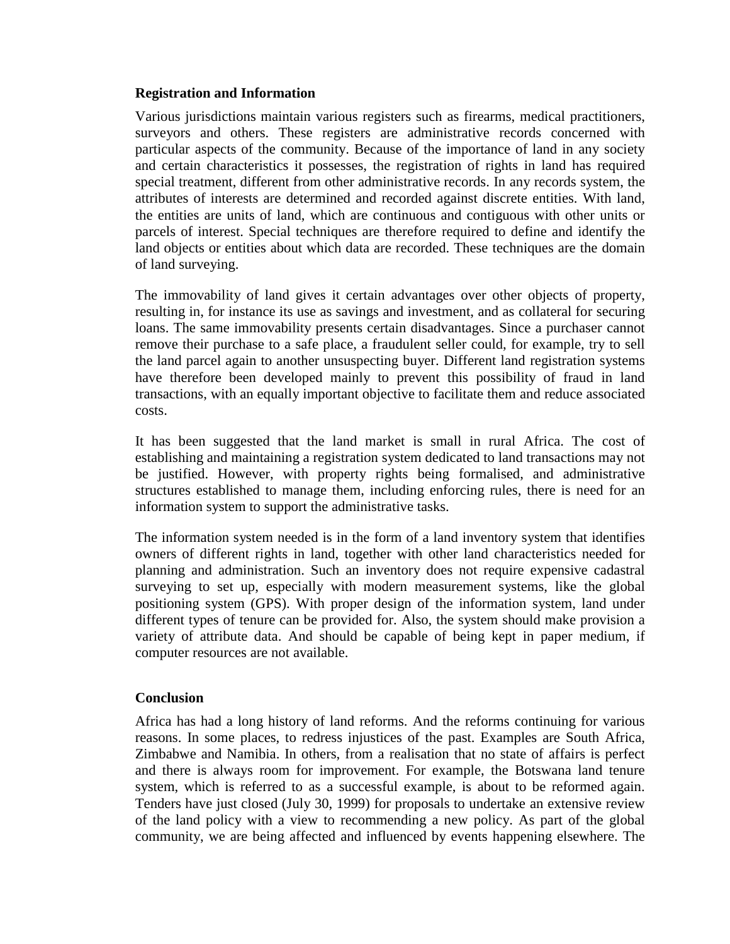### **Registration and Information**

Various jurisdictions maintain various registers such as firearms, medical practitioners, surveyors and others. These registers are administrative records concerned with particular aspects of the community. Because of the importance of land in any society and certain characteristics it possesses, the registration of rights in land has required special treatment, different from other administrative records. In any records system, the attributes of interests are determined and recorded against discrete entities. With land, the entities are units of land, which are continuous and contiguous with other units or parcels of interest. Special techniques are therefore required to define and identify the land objects or entities about which data are recorded. These techniques are the domain of land surveying.

The immovability of land gives it certain advantages over other objects of property, resulting in, for instance its use as savings and investment, and as collateral for securing loans. The same immovability presents certain disadvantages. Since a purchaser cannot remove their purchase to a safe place, a fraudulent seller could, for example, try to sell the land parcel again to another unsuspecting buyer. Different land registration systems have therefore been developed mainly to prevent this possibility of fraud in land transactions, with an equally important objective to facilitate them and reduce associated costs.

It has been suggested that the land market is small in rural Africa. The cost of establishing and maintaining a registration system dedicated to land transactions may not be justified. However, with property rights being formalised, and administrative structures established to manage them, including enforcing rules, there is need for an information system to support the administrative tasks.

The information system needed is in the form of a land inventory system that identifies owners of different rights in land, together with other land characteristics needed for planning and administration. Such an inventory does not require expensive cadastral surveying to set up, especially with modern measurement systems, like the global positioning system (GPS). With proper design of the information system, land under different types of tenure can be provided for. Also, the system should make provision a variety of attribute data. And should be capable of being kept in paper medium, if computer resources are not available.

## **Conclusion**

Africa has had a long history of land reforms. And the reforms continuing for various reasons. In some places, to redress injustices of the past. Examples are South Africa, Zimbabwe and Namibia. In others, from a realisation that no state of affairs is perfect and there is always room for improvement. For example, the Botswana land tenure system, which is referred to as a successful example, is about to be reformed again. Tenders have just closed (July 30, 1999) for proposals to undertake an extensive review of the land policy with a view to recommending a new policy. As part of the global community, we are being affected and influenced by events happening elsewhere. The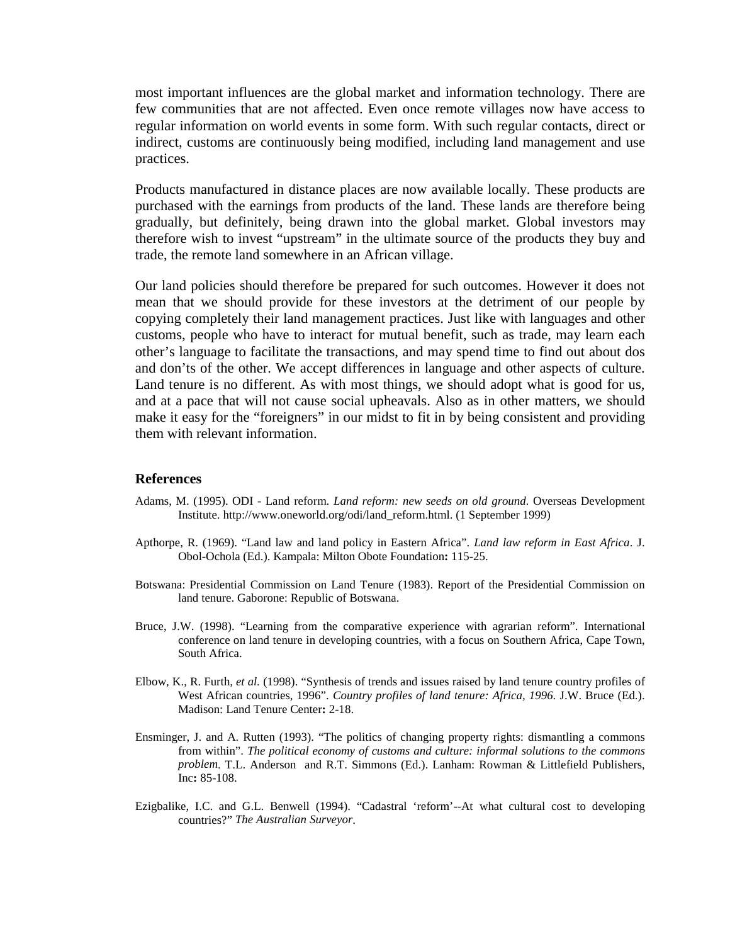most important influences are the global market and information technology. There are few communities that are not affected. Even once remote villages now have access to regular information on world events in some form. With such regular contacts, direct or indirect, customs are continuously being modified, including land management and use practices.

Products manufactured in distance places are now available locally. These products are purchased with the earnings from products of the land. These lands are therefore being gradually, but definitely, being drawn into the global market. Global investors may therefore wish to invest "upstream" in the ultimate source of the products they buy and trade, the remote land somewhere in an African village.

Our land policies should therefore be prepared for such outcomes. However it does not mean that we should provide for these investors at the detriment of our people by copying completely their land management practices. Just like with languages and other customs, people who have to interact for mutual benefit, such as trade, may learn each other's language to facilitate the transactions, and may spend time to find out about dos and don'ts of the other. We accept differences in language and other aspects of culture. Land tenure is no different. As with most things, we should adopt what is good for us, and at a pace that will not cause social upheavals. Also as in other matters, we should make it easy for the "foreigners" in our midst to fit in by being consistent and providing them with relevant information.

#### **References**

- Adams, M. (1995). ODI Land reform. *Land reform: new seeds on old ground.* Overseas Development Institute. http://www.oneworld.org/odi/land\_reform.html. (1 September 1999)
- Apthorpe, R. (1969). "Land law and land policy in Eastern Africa". *Land law reform in East Africa*. J. Obol-Ochola (Ed.). Kampala: Milton Obote Foundation**:** 115-25.
- Botswana: Presidential Commission on Land Tenure (1983). Report of the Presidential Commission on land tenure. Gaborone: Republic of Botswana.
- Bruce, J.W. (1998). "Learning from the comparative experience with agrarian reform". International conference on land tenure in developing countries, with a focus on Southern Africa, Cape Town, South Africa.
- Elbow, K., R. Furth*, et al.* (1998). "Synthesis of trends and issues raised by land tenure country profiles of West African countries, 1996". *Country profiles of land tenure: Africa, 1996*. J.W. Bruce (Ed.). Madison: Land Tenure Center**:** 2-18.
- Ensminger, J. and A. Rutten (1993). "The politics of changing property rights: dismantling a commons from within". *The political economy of customs and culture: informal solutions to the commons problem*. T.L. Anderson and R.T. Simmons (Ed.). Lanham: Rowman & Littlefield Publishers, Inc**:** 85-108.
- Ezigbalike, I.C. and G.L. Benwell (1994). "Cadastral 'reform'--At what cultural cost to developing countries?" *The Australian Surveyor*.